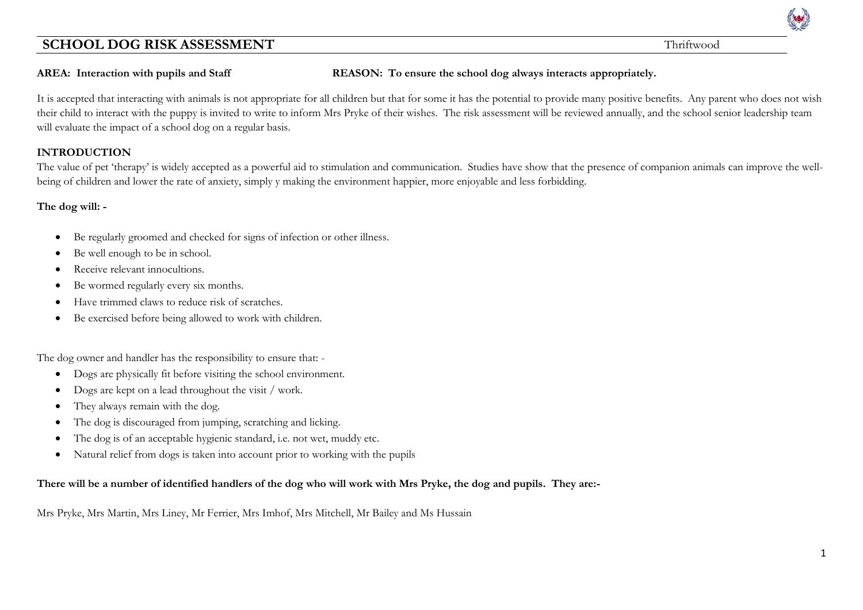**AREA: Interaction with pupils and Staff REASON: To ensure the school dog always interacts appropriately.**

It is accepted that interacting with animals is not appropriate for all children but that for some it has the potential to provide many positive benefits. Any parent who does not wish their child to interact with the puppy is invited to write to inform Mrs Pryke of their wishes. The risk assessment will be reviewed annually, and the school senior leadership team will evaluate the impact of a school dog on a regular basis.

#### **INTRODUCTION**

The value of pet 'therapy' is widely accepted as a powerful aid to stimulation and communication. Studies have show that the presence of companion animals can improve the wellbeing of children and lower the rate of anxiety, simply y making the environment happier, more enjoyable and less forbidding.

#### **The dog will: -**

- Be regularly groomed and checked for signs of infection or other illness.
- Be well enough to be in school.
- Receive relevant innocultions.
- Be wormed regularly every six months.
- Have trimmed claws to reduce risk of scratches.
- Be exercised before being allowed to work with children.

The dog owner and handler has the responsibility to ensure that: -

- Dogs are physically fit before visiting the school environment.
- Dogs are kept on a lead throughout the visit / work.
- They always remain with the dog.
- The dog is discouraged from jumping, scratching and licking.
- The dog is of an acceptable hygienic standard, i.e. not wet, muddy etc.
- Natural relief from dogs is taken into account prior to working with the pupils

#### **There will be a number of identified handlers of the dog who will work with Mrs Pryke, the dog and pupils. They are:-**

Mrs Pryke, Mrs Martin, Mrs Liney, Mr Ferrier, Mrs Imhof, Mrs Mitchell, Mr Bailey and Ms Hussain

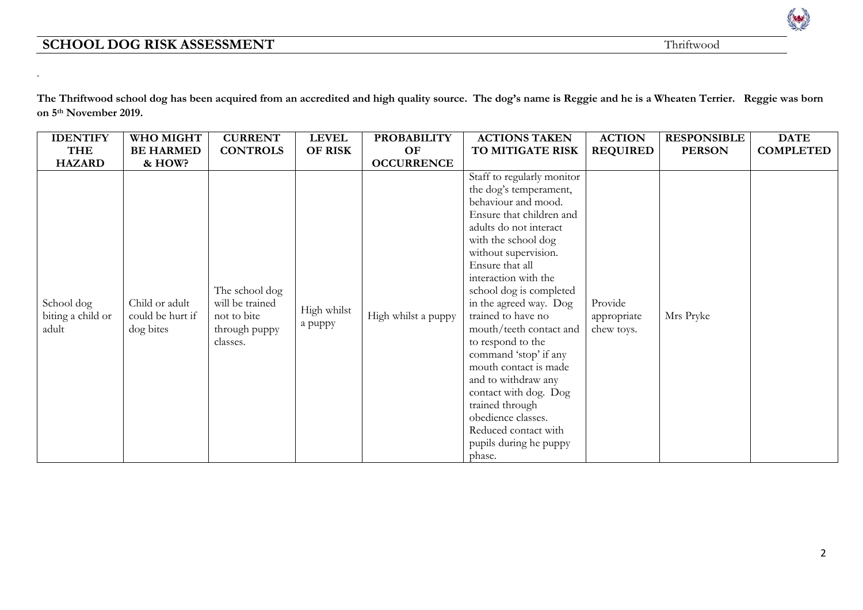.



| <b>IDENTIFY</b>                          | WHO MIGHT                                       | <b>CURRENT</b>                                                                | <b>LEVEL</b>           | <b>PROBABILITY</b>  | <b>ACTIONS TAKEN</b>                                                                                                                                                                                                                                                                                                                                                                                                                                                                                                                                          | <b>ACTION</b>                        | <b>RESPONSIBLE</b> | <b>DATE</b>      |
|------------------------------------------|-------------------------------------------------|-------------------------------------------------------------------------------|------------------------|---------------------|---------------------------------------------------------------------------------------------------------------------------------------------------------------------------------------------------------------------------------------------------------------------------------------------------------------------------------------------------------------------------------------------------------------------------------------------------------------------------------------------------------------------------------------------------------------|--------------------------------------|--------------------|------------------|
| <b>THE</b>                               | <b>BE HARMED</b>                                | <b>CONTROLS</b>                                                               | OF RISK                | OF                  | TO MITIGATE RISK                                                                                                                                                                                                                                                                                                                                                                                                                                                                                                                                              | <b>REQUIRED</b>                      | <b>PERSON</b>      | <b>COMPLETED</b> |
| <b>HAZARD</b>                            | & HOW?                                          |                                                                               |                        | <b>OCCURRENCE</b>   |                                                                                                                                                                                                                                                                                                                                                                                                                                                                                                                                                               |                                      |                    |                  |
| School dog<br>biting a child or<br>adult | Child or adult<br>could be hurt if<br>dog bites | The school dog<br>will be trained<br>not to bite<br>through puppy<br>classes. | High whilst<br>a puppy | High whilst a puppy | Staff to regularly monitor<br>the dog's temperament,<br>behaviour and mood.<br>Ensure that children and<br>adults do not interact<br>with the school dog<br>without supervision.<br>Ensure that all<br>interaction with the<br>school dog is completed<br>in the agreed way. Dog<br>trained to have no<br>mouth/teeth contact and<br>to respond to the<br>command 'stop' if any<br>mouth contact is made<br>and to withdraw any<br>contact with dog. Dog<br>trained through<br>obedience classes.<br>Reduced contact with<br>pupils during he puppy<br>phase. | Provide<br>appropriate<br>chew toys. | Mrs Pryke          |                  |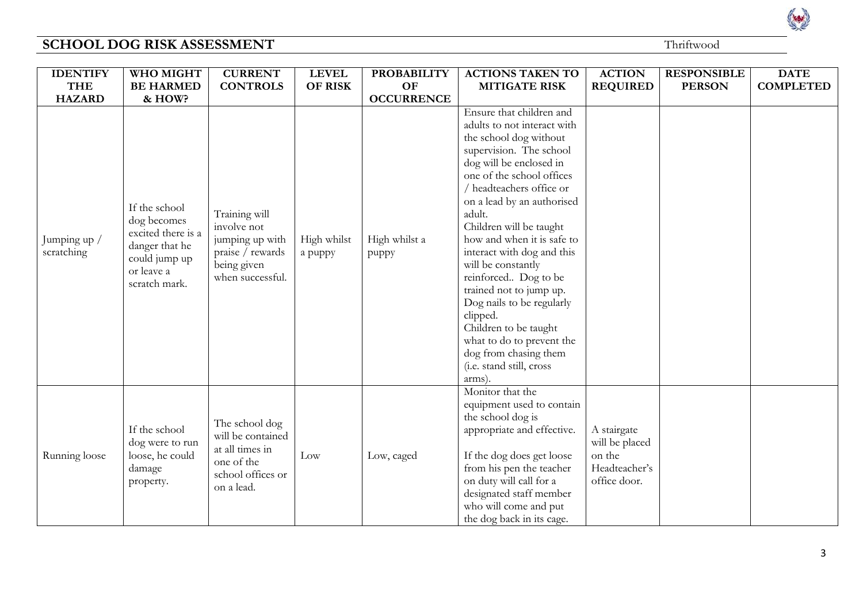| <b>IDENTIFY</b>            | WHO MIGHT                                                                                                            | <b>CURRENT</b>                                                                                          | <b>LEVEL</b>           | <b>PROBABILITY</b>     | <b>ACTIONS TAKEN TO</b>                                                                                                                                                                                                                                                                                                                                                                                                                                                                                                                                              | <b>ACTION</b>                                                            | <b>RESPONSIBLE</b> | <b>DATE</b>      |
|----------------------------|----------------------------------------------------------------------------------------------------------------------|---------------------------------------------------------------------------------------------------------|------------------------|------------------------|----------------------------------------------------------------------------------------------------------------------------------------------------------------------------------------------------------------------------------------------------------------------------------------------------------------------------------------------------------------------------------------------------------------------------------------------------------------------------------------------------------------------------------------------------------------------|--------------------------------------------------------------------------|--------------------|------------------|
| <b>THE</b>                 | <b>BE HARMED</b>                                                                                                     | <b>CONTROLS</b>                                                                                         | <b>OF RISK</b>         | <b>OF</b>              | <b>MITIGATE RISK</b>                                                                                                                                                                                                                                                                                                                                                                                                                                                                                                                                                 | <b>REQUIRED</b>                                                          | <b>PERSON</b>      | <b>COMPLETED</b> |
| <b>HAZARD</b>              | & HOW?                                                                                                               |                                                                                                         |                        | <b>OCCURRENCE</b>      |                                                                                                                                                                                                                                                                                                                                                                                                                                                                                                                                                                      |                                                                          |                    |                  |
| Jumping up /<br>scratching | If the school<br>dog becomes<br>excited there is a<br>danger that he<br>could jump up<br>or leave a<br>scratch mark. | Training will<br>involve not<br>jumping up with<br>praise / rewards<br>being given<br>when successful.  | High whilst<br>a puppy | High whilst a<br>puppy | Ensure that children and<br>adults to not interact with<br>the school dog without<br>supervision. The school<br>dog will be enclosed in<br>one of the school offices<br>headteachers office or<br>on a lead by an authorised<br>adult.<br>Children will be taught<br>how and when it is safe to<br>interact with dog and this<br>will be constantly<br>reinforced Dog to be<br>trained not to jump up.<br>Dog nails to be regularly<br>clipped.<br>Children to be taught<br>what to do to prevent the<br>dog from chasing them<br>(i.e. stand still, cross<br>arms). |                                                                          |                    |                  |
| Running loose              | If the school<br>dog were to run<br>loose, he could<br>damage<br>property.                                           | The school dog<br>will be contained<br>at all times in<br>one of the<br>school offices or<br>on a lead. | Low                    | Low, caged             | Monitor that the<br>equipment used to contain<br>the school dog is<br>appropriate and effective.<br>If the dog does get loose<br>from his pen the teacher<br>on duty will call for a<br>designated staff member<br>who will come and put<br>the dog back in its cage.                                                                                                                                                                                                                                                                                                | A stairgate<br>will be placed<br>on the<br>Headteacher's<br>office door. |                    |                  |

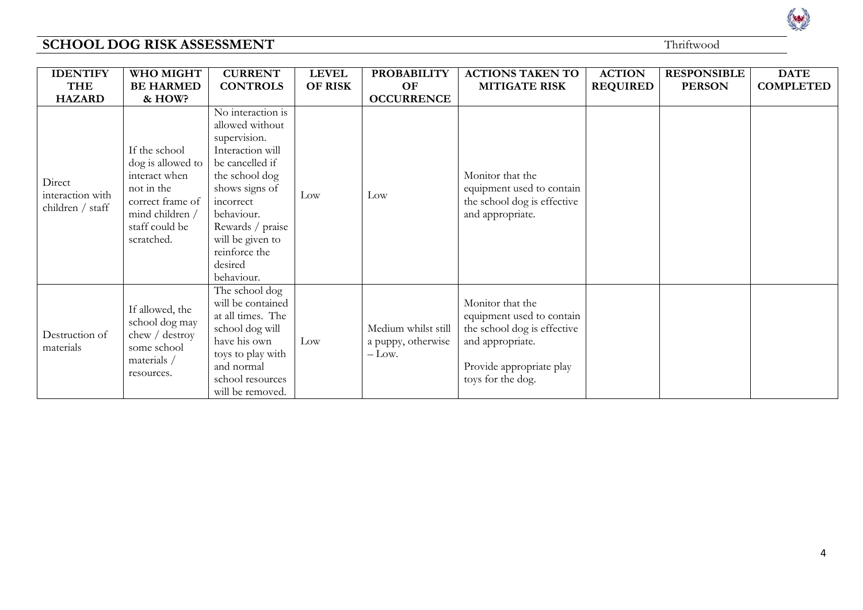| <b>IDENTIFY</b>                                | WHO MIGHT                                                                                                                                | <b>CURRENT</b>                                                                                                                                                                                                                               | <b>LEVEL</b>   | <b>PROBABILITY</b>                                   | <b>ACTIONS TAKEN TO</b>                                                                                                                           | <b>ACTION</b>   | <b>RESPONSIBLE</b> | <b>DATE</b>      |
|------------------------------------------------|------------------------------------------------------------------------------------------------------------------------------------------|----------------------------------------------------------------------------------------------------------------------------------------------------------------------------------------------------------------------------------------------|----------------|------------------------------------------------------|---------------------------------------------------------------------------------------------------------------------------------------------------|-----------------|--------------------|------------------|
| <b>THE</b><br><b>HAZARD</b>                    | <b>BE HARMED</b><br>& HOW?                                                                                                               | <b>CONTROLS</b>                                                                                                                                                                                                                              | <b>OF RISK</b> | OF<br><b>OCCURRENCE</b>                              | <b>MITIGATE RISK</b>                                                                                                                              | <b>REQUIRED</b> | <b>PERSON</b>      | <b>COMPLETED</b> |
| Direct<br>interaction with<br>children / staff | If the school<br>dog is allowed to<br>interact when<br>not in the<br>correct frame of<br>mind children /<br>staff could be<br>scratched. | No interaction is<br>allowed without<br>supervision.<br>Interaction will<br>be cancelled if<br>the school dog<br>shows signs of<br>incorrect<br>behaviour.<br>Rewards / praise<br>will be given to<br>reinforce the<br>desired<br>behaviour. | Low            | $_{\text{Low}}$                                      | Monitor that the<br>equipment used to contain<br>the school dog is effective<br>and appropriate.                                                  |                 |                    |                  |
| Destruction of<br>materials                    | If allowed, the<br>school dog may<br>chew / destroy<br>some school<br>materials /<br>resources.                                          | The school dog<br>will be contained<br>at all times. The<br>school dog will<br>have his own<br>toys to play with<br>and normal<br>school resources<br>will be removed.                                                                       | Low            | Medium whilst still<br>a puppy, otherwise<br>$-Low.$ | Monitor that the<br>equipment used to contain<br>the school dog is effective<br>and appropriate.<br>Provide appropriate play<br>toys for the dog. |                 |                    |                  |

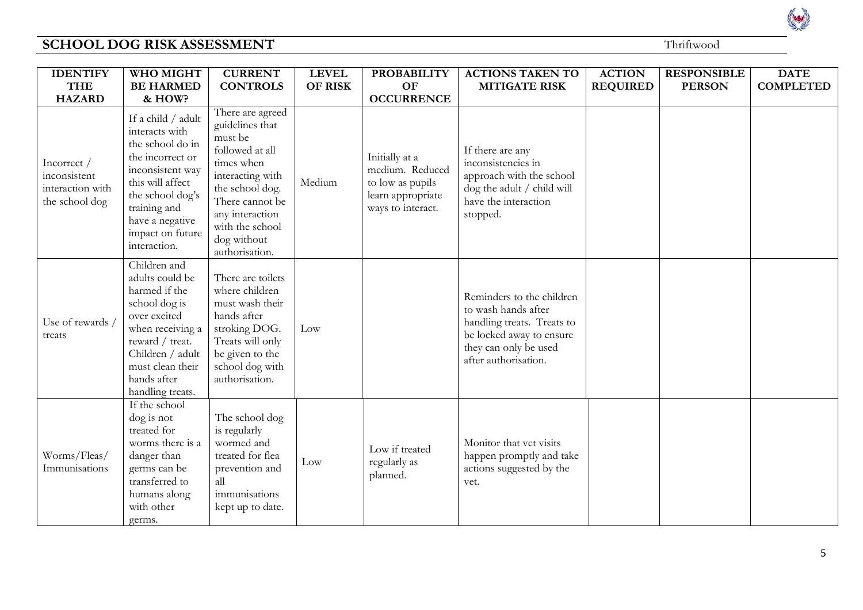| <b>IDENTIFY</b>                                                   | WHO MIGHT                                                                                                                                                                                                       | <b>CURRENT</b>                                                                                                                                                                                                   | <b>LEVEL</b>   | <b>PROBABILITY</b>                                                                              | <b>ACTIONS TAKEN TO</b>                                                                                                                                     | <b>ACTION</b>   | <b>RESPONSIBLE</b> | <b>DATE</b>      |
|-------------------------------------------------------------------|-----------------------------------------------------------------------------------------------------------------------------------------------------------------------------------------------------------------|------------------------------------------------------------------------------------------------------------------------------------------------------------------------------------------------------------------|----------------|-------------------------------------------------------------------------------------------------|-------------------------------------------------------------------------------------------------------------------------------------------------------------|-----------------|--------------------|------------------|
| <b>THE</b>                                                        | <b>BE HARMED</b>                                                                                                                                                                                                | <b>CONTROLS</b>                                                                                                                                                                                                  | <b>OF RISK</b> | <b>OF</b>                                                                                       | <b>MITIGATE RISK</b>                                                                                                                                        | <b>REQUIRED</b> | <b>PERSON</b>      | <b>COMPLETED</b> |
| <b>HAZARD</b>                                                     | & HOW?                                                                                                                                                                                                          |                                                                                                                                                                                                                  |                | <b>OCCURRENCE</b>                                                                               |                                                                                                                                                             |                 |                    |                  |
| Incorrect /<br>inconsistent<br>interaction with<br>the school dog | If a child / adult<br>interacts with<br>the school do in<br>the incorrect or<br>inconsistent way<br>this will affect<br>the school dog's<br>training and<br>have a negative<br>impact on future<br>interaction. | There are agreed<br>guidelines that<br>must be<br>followed at all<br>times when<br>interacting with<br>the school dog.<br>There cannot be<br>any interaction<br>with the school<br>dog without<br>authorisation. | Medium         | Initially at a<br>medium. Reduced<br>to low as pupils<br>learn appropriate<br>ways to interact. | If there are any<br>inconsistencies in<br>approach with the school<br>dog the adult / child will<br>have the interaction<br>stopped.                        |                 |                    |                  |
| Use of rewards<br>treats                                          | Children and<br>adults could be<br>harmed if the<br>school dog is<br>over excited<br>when receiving a<br>reward / treat.<br>Children / adult<br>must clean their<br>hands after<br>handling treats.             | There are toilets<br>where children<br>must wash their<br>hands after<br>stroking DOG.<br>Treats will only<br>be given to the<br>school dog with<br>authorisation.                                               | Low            |                                                                                                 | Reminders to the children<br>to wash hands after<br>handling treats. Treats to<br>be locked away to ensure<br>they can only be used<br>after authorisation. |                 |                    |                  |
| Worms/Fleas/<br>Immunisations                                     | If the school<br>dog is not<br>treated for<br>worms there is a<br>danger than<br>germs can be<br>transferred to<br>humans along<br>with other<br>germs.                                                         | The school dog<br>is regularly<br>wormed and<br>treated for flea<br>prevention and<br>all<br>immunisations<br>kept up to date.                                                                                   | Low            | Low if treated<br>regularly as<br>planned.                                                      | Monitor that vet visits<br>happen promptly and take<br>actions suggested by the<br>vet.                                                                     |                 |                    |                  |

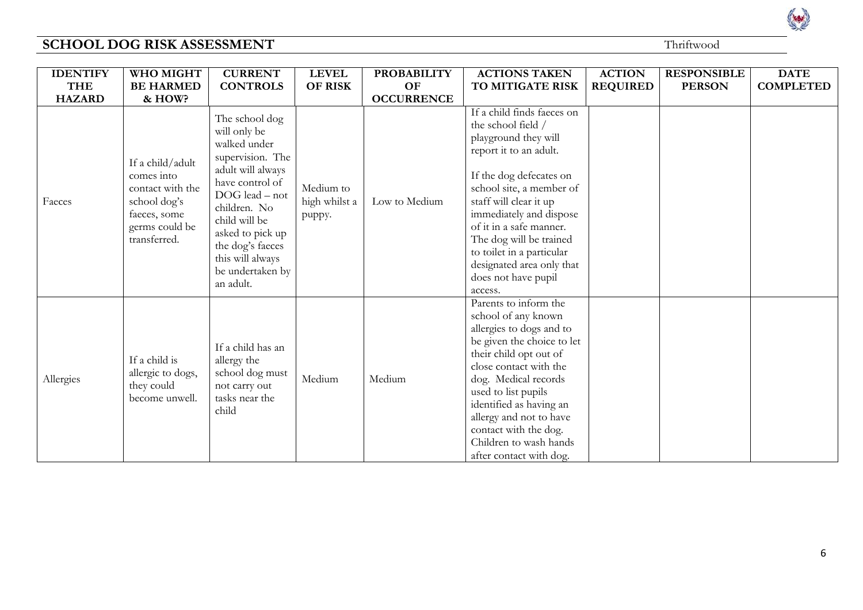| <b>IDENTIFY</b> | WHO MIGHT                                                                                                            | <b>CURRENT</b>                                                                                                                                                                                                                                             | <b>LEVEL</b>                         | <b>PROBABILITY</b> | <b>ACTIONS TAKEN</b>                                                                                                                                                                                                                                                                                                                                             | <b>ACTION</b>   | <b>RESPONSIBLE</b> | <b>DATE</b>      |
|-----------------|----------------------------------------------------------------------------------------------------------------------|------------------------------------------------------------------------------------------------------------------------------------------------------------------------------------------------------------------------------------------------------------|--------------------------------------|--------------------|------------------------------------------------------------------------------------------------------------------------------------------------------------------------------------------------------------------------------------------------------------------------------------------------------------------------------------------------------------------|-----------------|--------------------|------------------|
| <b>THE</b>      | <b>BE HARMED</b>                                                                                                     | <b>CONTROLS</b>                                                                                                                                                                                                                                            | <b>OF RISK</b>                       | OF                 | TO MITIGATE RISK                                                                                                                                                                                                                                                                                                                                                 | <b>REQUIRED</b> | <b>PERSON</b>      | <b>COMPLETED</b> |
| <b>HAZARD</b>   | & HOW?                                                                                                               |                                                                                                                                                                                                                                                            |                                      | <b>OCCURRENCE</b>  |                                                                                                                                                                                                                                                                                                                                                                  |                 |                    |                  |
| Faeces          | If a child/adult<br>comes into<br>contact with the<br>school dog's<br>faeces, some<br>germs could be<br>transferred. | The school dog<br>will only be<br>walked under<br>supervision. The<br>adult will always<br>have control of<br>DOG lead - not<br>children. No<br>child will be<br>asked to pick up<br>the dog's faeces<br>this will always<br>be undertaken by<br>an adult. | Medium to<br>high whilst a<br>puppy. | Low to Medium      | If a child finds faeces on<br>the school field /<br>playground they will<br>report it to an adult.<br>If the dog defecates on<br>school site, a member of<br>staff will clear it up<br>immediately and dispose<br>of it in a safe manner.<br>The dog will be trained<br>to toilet in a particular<br>designated area only that<br>does not have pupil<br>access. |                 |                    |                  |
| Allergies       | If a child is<br>allergic to dogs,<br>they could<br>become unwell.                                                   | If a child has an<br>allergy the<br>school dog must<br>not carry out<br>tasks near the<br>child                                                                                                                                                            | Medium                               | Medium             | Parents to inform the<br>school of any known<br>allergies to dogs and to<br>be given the choice to let<br>their child opt out of<br>close contact with the<br>dog. Medical records<br>used to list pupils<br>identified as having an<br>allergy and not to have<br>contact with the dog.<br>Children to wash hands<br>after contact with dog.                    |                 |                    |                  |

Red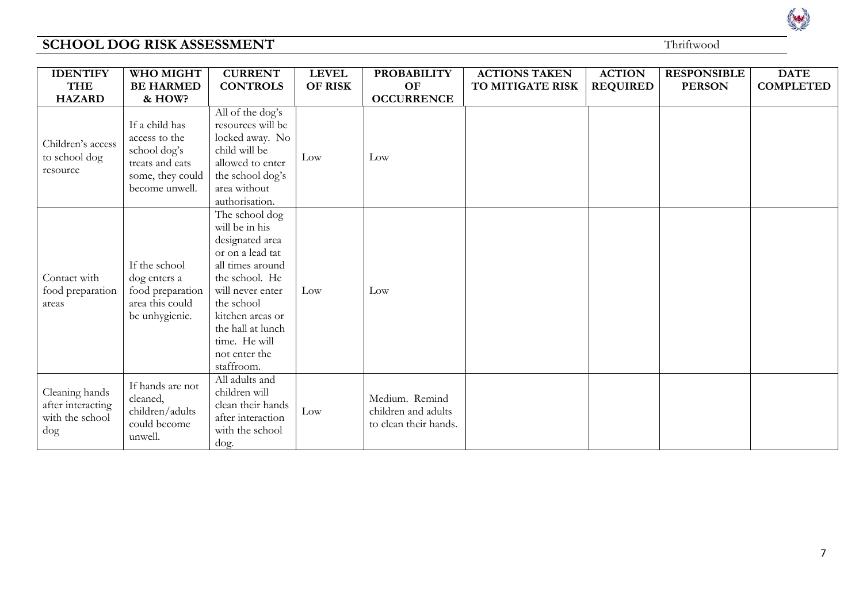| <b>IDENTIFY</b><br><b>THE</b>                                    | WHO MIGHT<br><b>BE HARMED</b>                                                                            | <b>CURRENT</b><br><b>CONTROLS</b>                                                                                                                                                                                                        | <b>LEVEL</b><br><b>OF RISK</b> | <b>PROBABILITY</b><br>OF                                       | <b>ACTIONS TAKEN</b><br>TO MITIGATE RISK | <b>ACTION</b><br><b>REQUIRED</b> | <b>RESPONSIBLE</b><br><b>PERSON</b> | <b>DATE</b><br><b>COMPLETED</b> |
|------------------------------------------------------------------|----------------------------------------------------------------------------------------------------------|------------------------------------------------------------------------------------------------------------------------------------------------------------------------------------------------------------------------------------------|--------------------------------|----------------------------------------------------------------|------------------------------------------|----------------------------------|-------------------------------------|---------------------------------|
| <b>HAZARD</b>                                                    | & HOW?                                                                                                   |                                                                                                                                                                                                                                          |                                | <b>OCCURRENCE</b>                                              |                                          |                                  |                                     |                                 |
| Children's access<br>to school dog<br>resource                   | If a child has<br>access to the<br>school dog's<br>treats and eats<br>some, they could<br>become unwell. | All of the dog's<br>resources will be<br>locked away. No<br>child will be<br>allowed to enter<br>the school dog's<br>area without<br>authorisation.                                                                                      | Low                            | Low                                                            |                                          |                                  |                                     |                                 |
| Contact with<br>food preparation<br>areas                        | If the school<br>dog enters a<br>food preparation<br>area this could<br>be unhygienic.                   | The school dog<br>will be in his<br>designated area<br>or on a lead tat<br>all times around<br>the school. He<br>will never enter<br>the school<br>kitchen areas or<br>the hall at lunch<br>time. He will<br>not enter the<br>staffroom. | Low                            | Low                                                            |                                          |                                  |                                     |                                 |
| Cleaning hands<br>after interacting<br>with the school<br>$\log$ | If hands are not<br>cleaned,<br>children/adults<br>could become<br>unwell.                               | All adults and<br>children will<br>clean their hands<br>after interaction<br>with the school<br>dog.                                                                                                                                     | Low                            | Medium. Remind<br>children and adults<br>to clean their hands. |                                          |                                  |                                     |                                 |

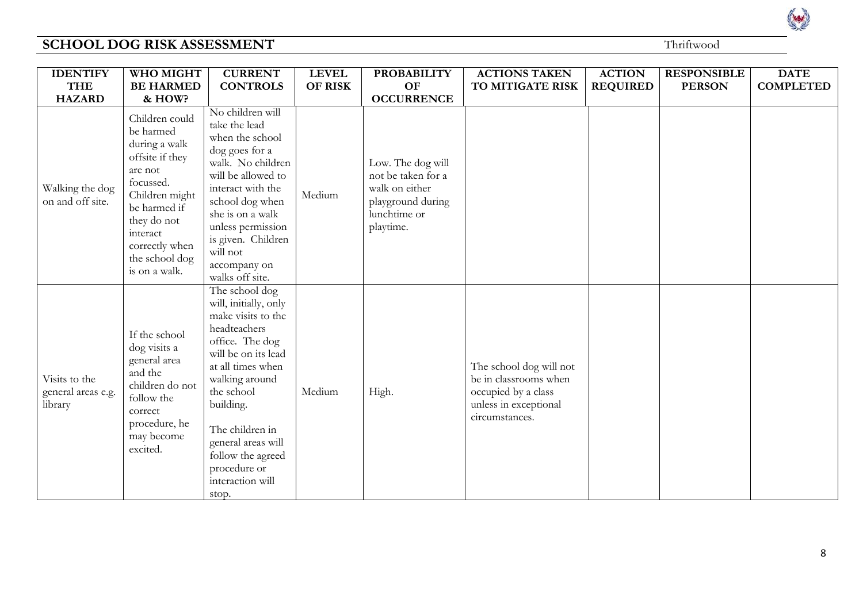Read

| <b>IDENTIFY</b>                                | WHO MIGHT                                                                                                                                                                                                 | <b>CURRENT</b>                                                                                                                                                                                                                                                                                       | <b>LEVEL</b>   | <b>PROBABILITY</b>                                                                                          | <b>ACTIONS TAKEN</b>                                                                                               | <b>ACTION</b>   | <b>RESPONSIBLE</b> | <b>DATE</b>      |
|------------------------------------------------|-----------------------------------------------------------------------------------------------------------------------------------------------------------------------------------------------------------|------------------------------------------------------------------------------------------------------------------------------------------------------------------------------------------------------------------------------------------------------------------------------------------------------|----------------|-------------------------------------------------------------------------------------------------------------|--------------------------------------------------------------------------------------------------------------------|-----------------|--------------------|------------------|
| <b>THE</b>                                     | <b>BE HARMED</b>                                                                                                                                                                                          | <b>CONTROLS</b>                                                                                                                                                                                                                                                                                      | <b>OF RISK</b> | OF                                                                                                          | TO MITIGATE RISK                                                                                                   | <b>REQUIRED</b> | <b>PERSON</b>      | <b>COMPLETED</b> |
| <b>HAZARD</b>                                  | & HOW?                                                                                                                                                                                                    |                                                                                                                                                                                                                                                                                                      |                | <b>OCCURRENCE</b>                                                                                           |                                                                                                                    |                 |                    |                  |
| Walking the dog<br>on and off site.            | Children could<br>be harmed<br>during a walk<br>offsite if they<br>are not<br>focussed.<br>Children might<br>be harmed if<br>they do not<br>interact<br>correctly when<br>the school dog<br>is on a walk. | No children will<br>take the lead<br>when the school<br>dog goes for a<br>walk. No children<br>will be allowed to<br>interact with the<br>school dog when<br>she is on a walk<br>unless permission<br>is given. Children<br>will not<br>accompany on<br>walks off site.                              | Medium         | Low. The dog will<br>not be taken for a<br>walk on either<br>playground during<br>lunchtime or<br>playtime. |                                                                                                                    |                 |                    |                  |
| Visits to the<br>general areas e.g.<br>library | If the school<br>dog visits a<br>general area<br>and the<br>children do not<br>follow the<br>correct<br>procedure, he<br>may become<br>excited.                                                           | The school dog<br>will, initially, only<br>make visits to the<br>headteachers<br>office. The dog<br>will be on its lead<br>at all times when<br>walking around<br>the school<br>building.<br>The children in<br>general areas will<br>follow the agreed<br>procedure or<br>interaction will<br>stop. | Medium         | High.                                                                                                       | The school dog will not<br>be in classrooms when<br>occupied by a class<br>unless in exceptional<br>circumstances. |                 |                    |                  |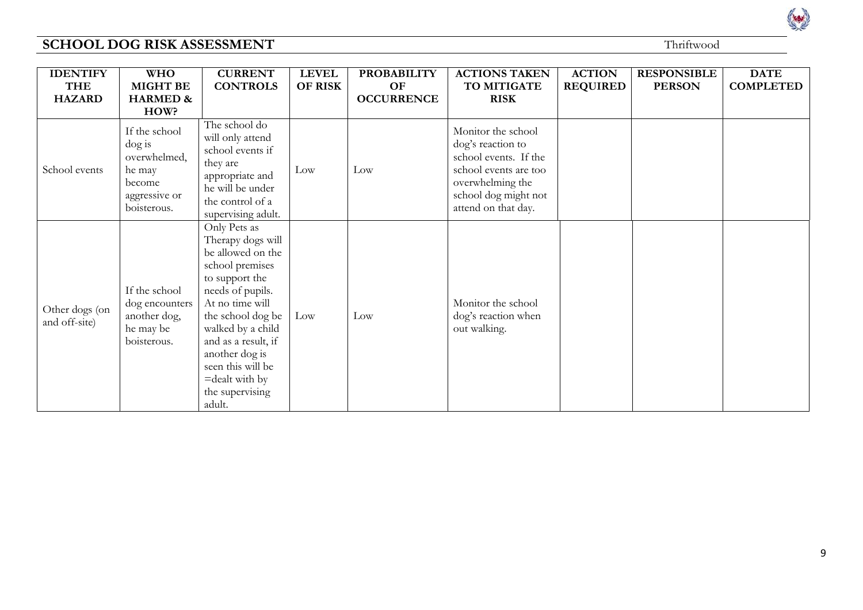| rwood |  |
|-------|--|
|       |  |

| <b>IDENTIFY</b>                 | <b>WHO</b>                                                                                     | <b>CURRENT</b>                                                                                                                                                                                                                                                                               | <b>LEVEL</b> | <b>PROBABILITY</b>      | <b>ACTIONS TAKEN</b>                                                                                                                                         | <b>ACTION</b>   | <b>RESPONSIBLE</b> | <b>DATE</b>      |
|---------------------------------|------------------------------------------------------------------------------------------------|----------------------------------------------------------------------------------------------------------------------------------------------------------------------------------------------------------------------------------------------------------------------------------------------|--------------|-------------------------|--------------------------------------------------------------------------------------------------------------------------------------------------------------|-----------------|--------------------|------------------|
| <b>THE</b><br><b>HAZARD</b>     | <b>MIGHT BE</b><br><b>HARMED &amp;</b>                                                         | <b>CONTROLS</b>                                                                                                                                                                                                                                                                              | OF RISK      | OF<br><b>OCCURRENCE</b> | TO MITIGATE<br><b>RISK</b>                                                                                                                                   | <b>REQUIRED</b> | <b>PERSON</b>      | <b>COMPLETED</b> |
|                                 | HOW?                                                                                           |                                                                                                                                                                                                                                                                                              |              |                         |                                                                                                                                                              |                 |                    |                  |
| School events                   | If the school<br>$\log$ is<br>overwhelmed,<br>he may<br>become<br>aggressive or<br>boisterous. | The school do<br>will only attend<br>school events if<br>they are<br>appropriate and<br>he will be under<br>the control of a<br>supervising adult.                                                                                                                                           | Low          | Low                     | Monitor the school<br>dog's reaction to<br>school events. If the<br>school events are too<br>overwhelming the<br>school dog might not<br>attend on that day. |                 |                    |                  |
| Other dogs (on<br>and off-site) | If the school<br>dog encounters<br>another dog,<br>he may be<br>boisterous.                    | Only Pets as<br>Therapy dogs will<br>be allowed on the<br>school premises<br>to support the<br>needs of pupils.<br>At no time will<br>the school dog be<br>walked by a child<br>and as a result, if<br>another dog is<br>seen this will be<br>$=$ dealt with by<br>the supervising<br>adult. | Low          | Low                     | Monitor the school<br>dog's reaction when<br>out walking.                                                                                                    |                 |                    |                  |

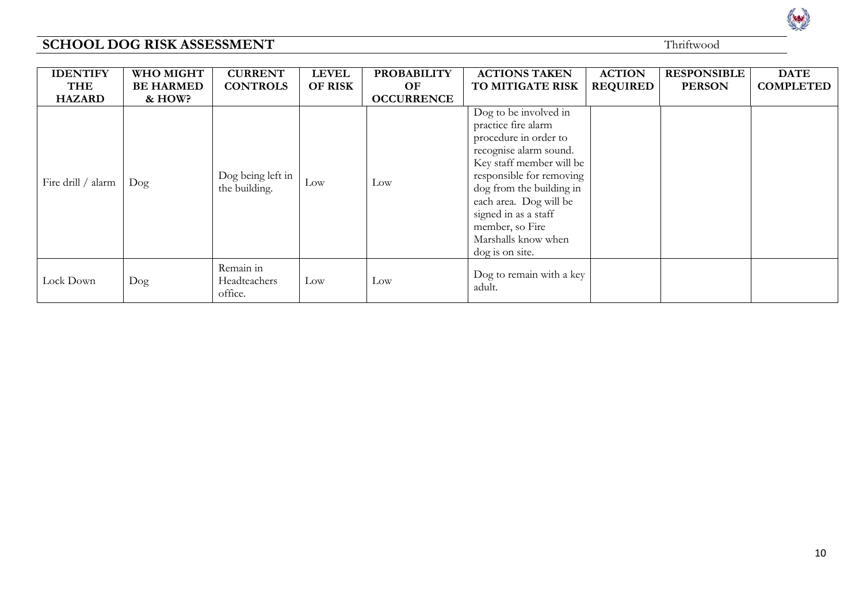| <b>IDENTIFY</b>    | WHO MIGHT        | <b>CURRENT</b>                       | <b>LEVEL</b>   | <b>PROBABILITY</b> | <b>ACTIONS TAKEN</b>                                                                                                                                                                                                                                                                               | <b>ACTION</b>   | <b>RESPONSIBLE</b> | <b>DATE</b>      |
|--------------------|------------------|--------------------------------------|----------------|--------------------|----------------------------------------------------------------------------------------------------------------------------------------------------------------------------------------------------------------------------------------------------------------------------------------------------|-----------------|--------------------|------------------|
| <b>THE</b>         | <b>BE HARMED</b> | <b>CONTROLS</b>                      | <b>OF RISK</b> | OF                 | TO MITIGATE RISK                                                                                                                                                                                                                                                                                   | <b>REQUIRED</b> | <b>PERSON</b>      | <b>COMPLETED</b> |
| <b>HAZARD</b>      | & HOW?           |                                      |                | <b>OCCURRENCE</b>  |                                                                                                                                                                                                                                                                                                    |                 |                    |                  |
| Fire drill / alarm | $\log$           | Dog being left in<br>the building.   | Low            | Low                | Dog to be involved in<br>practice fire alarm<br>procedure in order to<br>recognise alarm sound.<br>Key staff member will be<br>responsible for removing<br>dog from the building in<br>each area. Dog will be<br>signed in as a staff<br>member, so Fire<br>Marshalls know when<br>dog is on site. |                 |                    |                  |
| Lock Down          | $\log$           | Remain in<br>Headteachers<br>office. | Low            | Low                | Dog to remain with a key<br>adult.                                                                                                                                                                                                                                                                 |                 |                    |                  |

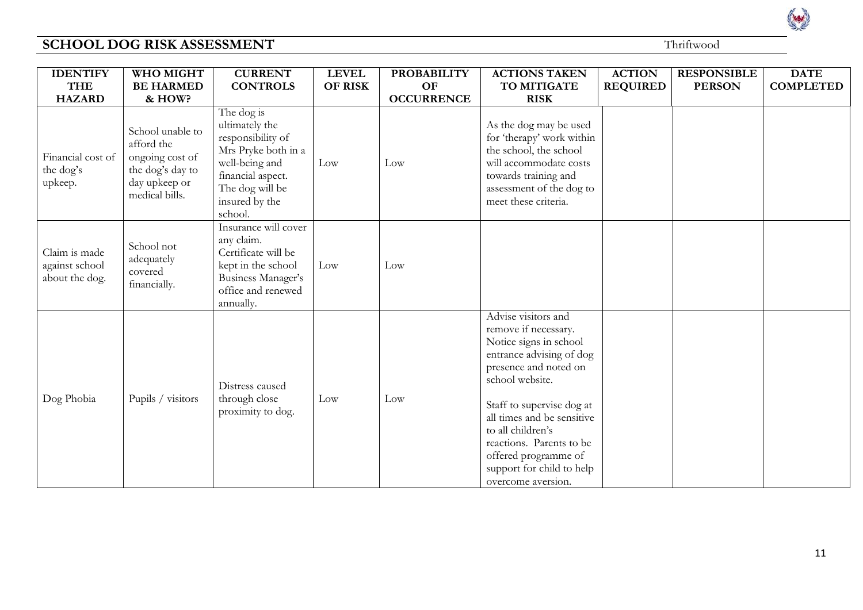| <b>IDENTIFY</b><br><b>THE</b><br><b>HAZARD</b>    | WHO MIGHT<br><b>BE HARMED</b><br>& HOW?                                                                  | <b>CURRENT</b><br><b>CONTROLS</b>                                                                                                                               | <b>LEVEL</b><br><b>OF RISK</b> | <b>PROBABILITY</b><br>OF<br><b>OCCURRENCE</b> | <b>ACTIONS TAKEN</b><br>TO MITIGATE<br><b>RISK</b>                                                                                                                                                                                                                                                                                   | <b>ACTION</b><br><b>REQUIRED</b> | <b>RESPONSIBLE</b><br><b>PERSON</b> | <b>DATE</b><br><b>COMPLETED</b> |
|---------------------------------------------------|----------------------------------------------------------------------------------------------------------|-----------------------------------------------------------------------------------------------------------------------------------------------------------------|--------------------------------|-----------------------------------------------|--------------------------------------------------------------------------------------------------------------------------------------------------------------------------------------------------------------------------------------------------------------------------------------------------------------------------------------|----------------------------------|-------------------------------------|---------------------------------|
| Financial cost of<br>the dog's<br>upkeep.         | School unable to<br>afford the<br>ongoing cost of<br>the dog's day to<br>day upkeep or<br>medical bills. | The dog is<br>ultimately the<br>responsibility of<br>Mrs Pryke both in a<br>well-being and<br>financial aspect.<br>The dog will be<br>insured by the<br>school. | Low                            | Low                                           | As the dog may be used<br>for 'therapy' work within<br>the school, the school<br>will accommodate costs<br>towards training and<br>assessment of the dog to<br>meet these criteria.                                                                                                                                                  |                                  |                                     |                                 |
| Claim is made<br>against school<br>about the dog. | School not<br>adequately<br>covered<br>financially.                                                      | Insurance will cover<br>any claim.<br>Certificate will be<br>kept in the school<br>Business Manager's<br>office and renewed<br>annually.                        | Low                            | Low                                           |                                                                                                                                                                                                                                                                                                                                      |                                  |                                     |                                 |
| Dog Phobia                                        | Pupils / visitors                                                                                        | Distress caused<br>through close<br>proximity to dog.                                                                                                           | Low                            | Low                                           | Advise visitors and<br>remove if necessary.<br>Notice signs in school<br>entrance advising of dog<br>presence and noted on<br>school website.<br>Staff to supervise dog at<br>all times and be sensitive<br>to all children's<br>reactions. Parents to be<br>offered programme of<br>support for child to help<br>overcome aversion. |                                  |                                     |                                 |